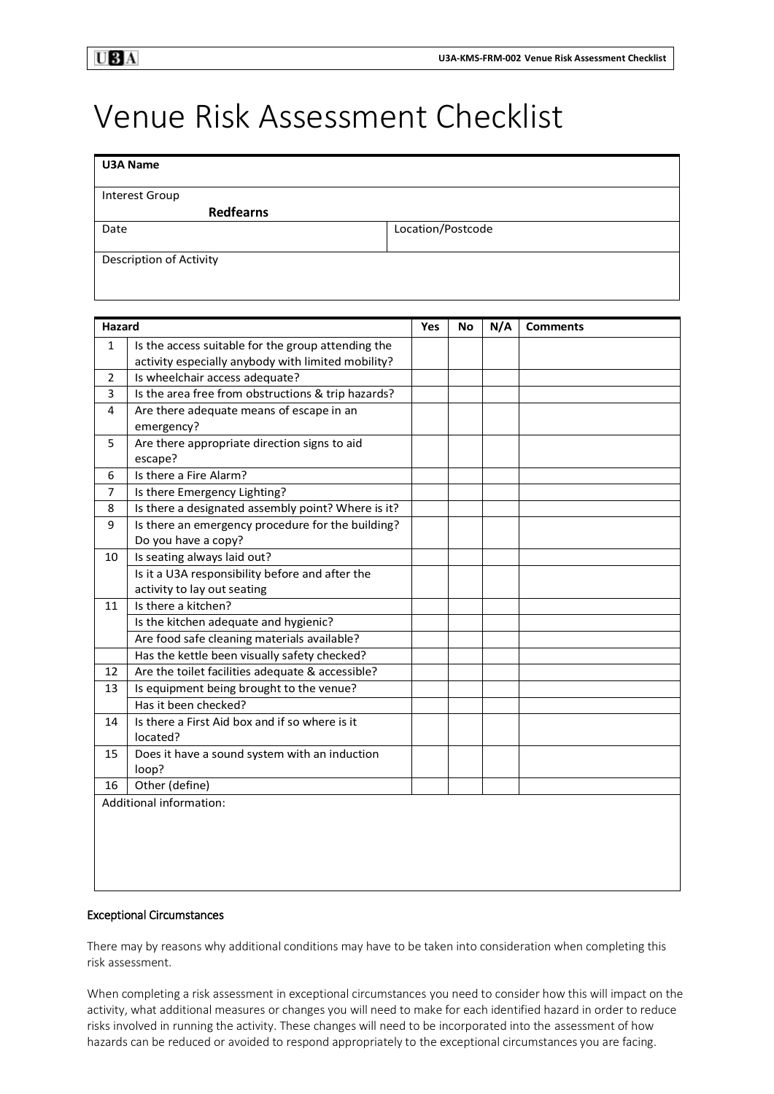## Venue Risk Assessment Checklist

| <b>U3A Name</b>         |                   |
|-------------------------|-------------------|
| Interest Group          |                   |
| <b>Redfearns</b>        |                   |
| Date                    | Location/Postcode |
| Description of Activity |                   |

| <b>Hazard</b>           |                                                    | Yes | No | N/A | <b>Comments</b> |
|-------------------------|----------------------------------------------------|-----|----|-----|-----------------|
| $\mathbf{1}$            | Is the access suitable for the group attending the |     |    |     |                 |
|                         | activity especially anybody with limited mobility? |     |    |     |                 |
| 2                       | Is wheelchair access adequate?                     |     |    |     |                 |
| 3                       | Is the area free from obstructions & trip hazards? |     |    |     |                 |
| 4                       | Are there adequate means of escape in an           |     |    |     |                 |
|                         | emergency?                                         |     |    |     |                 |
| 5                       | Are there appropriate direction signs to aid       |     |    |     |                 |
|                         | escape?                                            |     |    |     |                 |
| 6                       | Is there a Fire Alarm?                             |     |    |     |                 |
| 7                       | Is there Emergency Lighting?                       |     |    |     |                 |
| 8                       | Is there a designated assembly point? Where is it? |     |    |     |                 |
| 9                       | Is there an emergency procedure for the building?  |     |    |     |                 |
|                         | Do you have a copy?                                |     |    |     |                 |
| 10                      | Is seating always laid out?                        |     |    |     |                 |
|                         | Is it a U3A responsibility before and after the    |     |    |     |                 |
|                         | activity to lay out seating                        |     |    |     |                 |
| 11                      | Is there a kitchen?                                |     |    |     |                 |
|                         | Is the kitchen adequate and hygienic?              |     |    |     |                 |
|                         | Are food safe cleaning materials available?        |     |    |     |                 |
|                         | Has the kettle been visually safety checked?       |     |    |     |                 |
| 12                      | Are the toilet facilities adequate & accessible?   |     |    |     |                 |
| 13                      | Is equipment being brought to the venue?           |     |    |     |                 |
|                         | Has it been checked?                               |     |    |     |                 |
| 14                      | Is there a First Aid box and if so where is it     |     |    |     |                 |
|                         | located?                                           |     |    |     |                 |
| 15                      | Does it have a sound system with an induction      |     |    |     |                 |
|                         | loop?                                              |     |    |     |                 |
| 16                      | Other (define)                                     |     |    |     |                 |
| Additional information: |                                                    |     |    |     |                 |
|                         |                                                    |     |    |     |                 |
|                         |                                                    |     |    |     |                 |
|                         |                                                    |     |    |     |                 |
|                         |                                                    |     |    |     |                 |
|                         |                                                    |     |    |     |                 |

## Exceptional Circumstances

There may by reasons why additional conditions may have to be taken into consideration when completing this risk assessment.

When completing a risk assessment in exceptional circumstances you need to consider how this will impact on the activity, what additional measures or changes you will need to make for each identified hazard in order to reduce risks involved in running the activity. These changes will need to be incorporated into the assessment of how hazards can be reduced or avoided to respond appropriately to the exceptional circumstances you are facing.